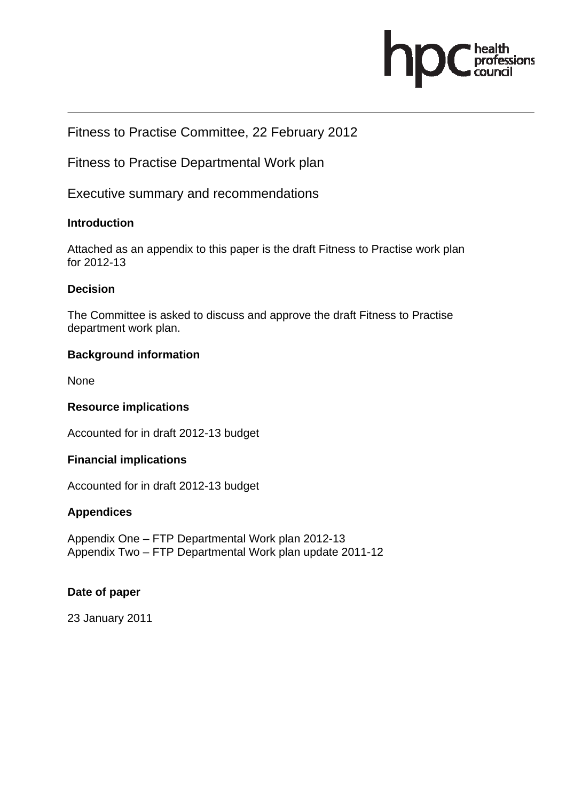

#### Fitness to Practise Committee, 22 February 2012

Fitness to Practise Departmental Work plan

Executive summary and recommendations

#### **Introduction**

Attached as an appendix to this paper is the draft Fitness to Practise work plan for 2012-13

#### **Decision**

The Committee is asked to discuss and approve the draft Fitness to Practise department work plan.

#### **Background information**

None

#### **Resource implications**

Accounted for in draft 2012-13 budget

#### **Financial implications**

Accounted for in draft 2012-13 budget

#### **Appendices**

Appendix One – FTP Departmental Work plan 2012-13 Appendix Two – FTP Departmental Work plan update 2011-12

#### **Date of paper**

23 January 2011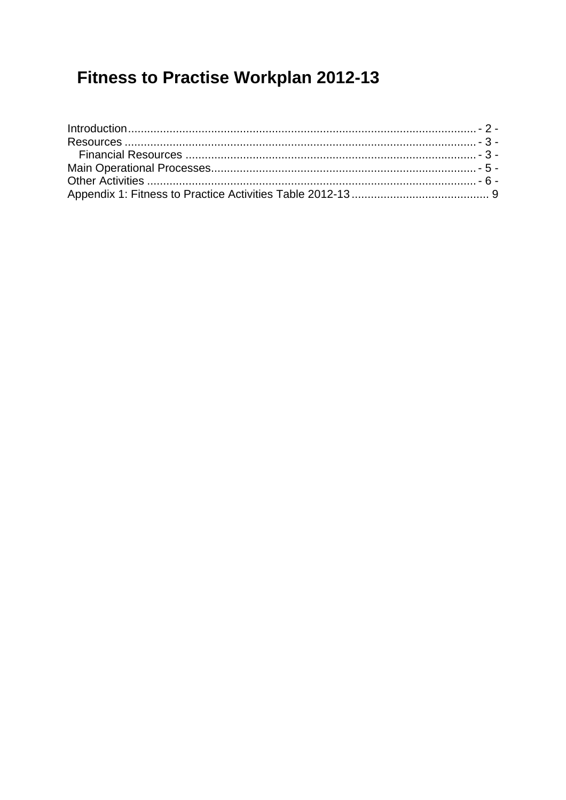# **Fitness to Practise Workplan 2012-13**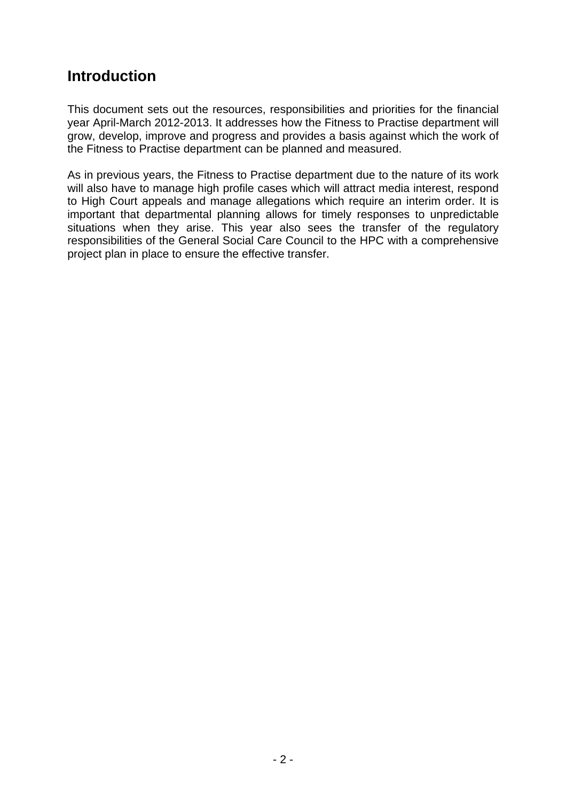### **Introduction**

This document sets out the resources, responsibilities and priorities for the financial year April-March 2012-2013. It addresses how the Fitness to Practise department will grow, develop, improve and progress and provides a basis against which the work of the Fitness to Practise department can be planned and measured.

As in previous years, the Fitness to Practise department due to the nature of its work will also have to manage high profile cases which will attract media interest, respond to High Court appeals and manage allegations which require an interim order. It is important that departmental planning allows for timely responses to unpredictable situations when they arise. This year also sees the transfer of the regulatory responsibilities of the General Social Care Council to the HPC with a comprehensive project plan in place to ensure the effective transfer.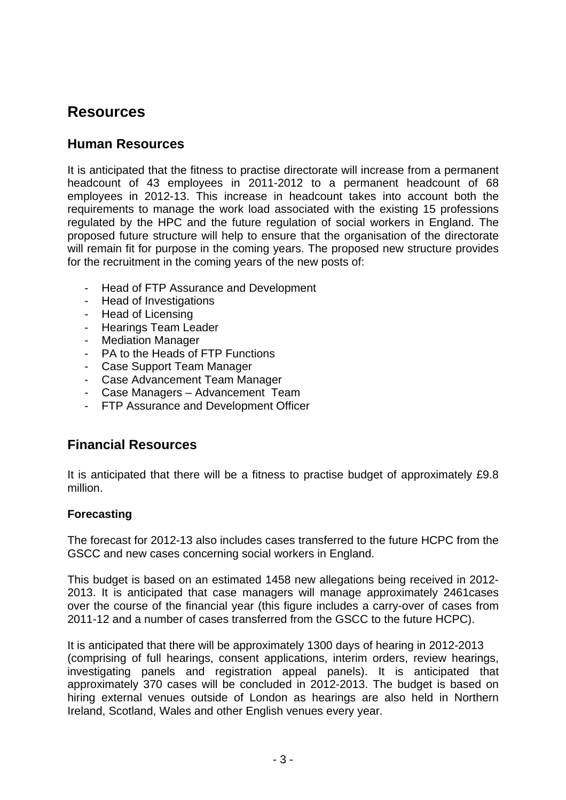### **Resources**

### **Human Resources**

It is anticipated that the fitness to practise directorate will increase from a permanent headcount of 43 employees in 2011-2012 to a permanent headcount of 68 employees in 2012-13. This increase in headcount takes into account both the requirements to manage the work load associated with the existing 15 professions regulated by the HPC and the future regulation of social workers in England. The proposed future structure will help to ensure that the organisation of the directorate will remain fit for purpose in the coming years. The proposed new structure provides for the recruitment in the coming years of the new posts of:

- Head of FTP Assurance and Development
- Head of Investigations
- Head of Licensing
- Hearings Team Leader
- Mediation Manager
- PA to the Heads of FTP Functions
- Case Support Team Manager
- Case Advancement Team Manager
- Case Managers Advancement Team
- FTP Assurance and Development Officer

#### **Financial Resources**

It is anticipated that there will be a fitness to practise budget of approximately £9.8 million.

#### **Forecasting**

The forecast for 2012-13 also includes cases transferred to the future HCPC from the GSCC and new cases concerning social workers in England.

This budget is based on an estimated 1458 new allegations being received in 2012- 2013. It is anticipated that case managers will manage approximately 2461cases over the course of the financial year (this figure includes a carry-over of cases from 2011-12 and a number of cases transferred from the GSCC to the future HCPC).

It is anticipated that there will be approximately 1300 days of hearing in 2012-2013 (comprising of full hearings, consent applications, interim orders, review hearings, investigating panels and registration appeal panels). It is anticipated that approximately 370 cases will be concluded in 2012-2013. The budget is based on hiring external venues outside of London as hearings are also held in Northern Ireland, Scotland, Wales and other English venues every year.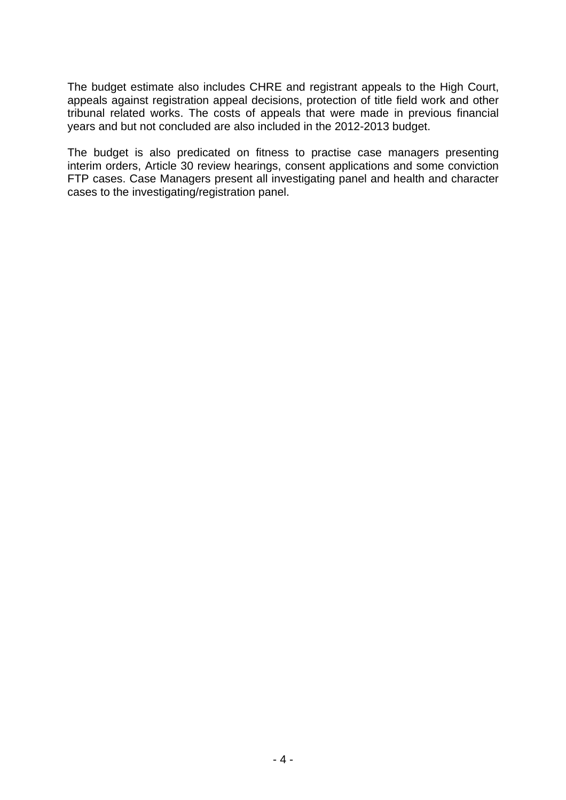The budget estimate also includes CHRE and registrant appeals to the High Court, appeals against registration appeal decisions, protection of title field work and other tribunal related works. The costs of appeals that were made in previous financial years and but not concluded are also included in the 2012-2013 budget.

The budget is also predicated on fitness to practise case managers presenting interim orders, Article 30 review hearings, consent applications and some conviction FTP cases. Case Managers present all investigating panel and health and character cases to the investigating/registration panel.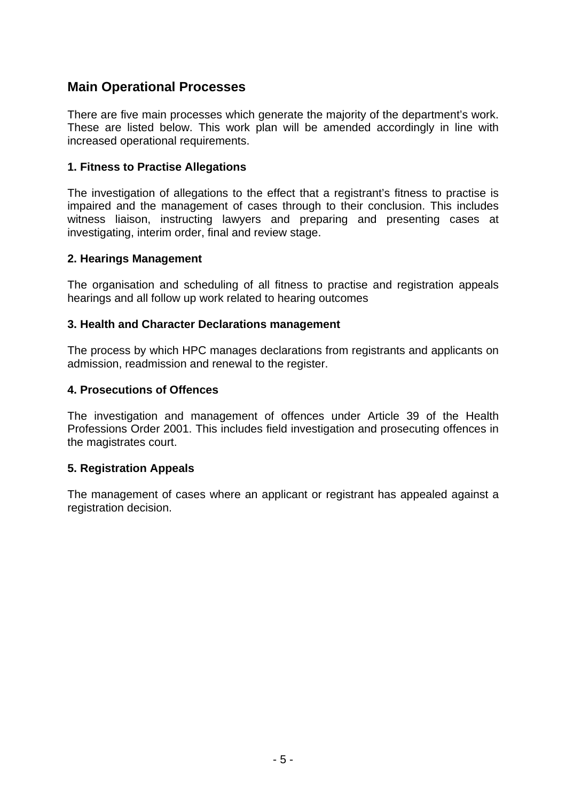### **Main Operational Processes**

There are five main processes which generate the majority of the department's work. These are listed below. This work plan will be amended accordingly in line with increased operational requirements.

#### **1. Fitness to Practise Allegations**

The investigation of allegations to the effect that a registrant's fitness to practise is impaired and the management of cases through to their conclusion. This includes witness liaison, instructing lawyers and preparing and presenting cases at investigating, interim order, final and review stage.

#### **2. Hearings Management**

The organisation and scheduling of all fitness to practise and registration appeals hearings and all follow up work related to hearing outcomes

#### **3. Health and Character Declarations management**

The process by which HPC manages declarations from registrants and applicants on admission, readmission and renewal to the register.

#### **4. Prosecutions of Offences**

The investigation and management of offences under Article 39 of the Health Professions Order 2001. This includes field investigation and prosecuting offences in the magistrates court.

#### **5. Registration Appeals**

The management of cases where an applicant or registrant has appealed against a registration decision.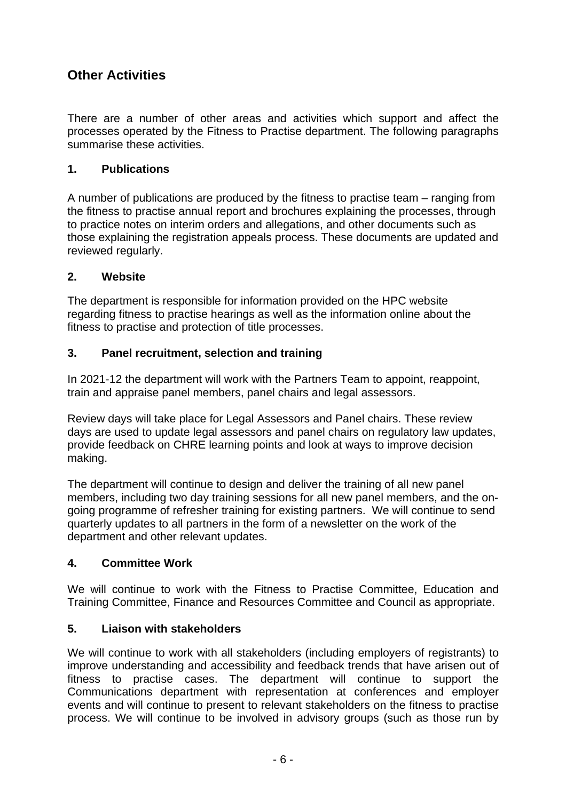### **Other Activities**

There are a number of other areas and activities which support and affect the processes operated by the Fitness to Practise department. The following paragraphs summarise these activities.

#### **1. Publications**

A number of publications are produced by the fitness to practise team – ranging from the fitness to practise annual report and brochures explaining the processes, through to practice notes on interim orders and allegations, and other documents such as those explaining the registration appeals process. These documents are updated and reviewed regularly.

#### **2. Website**

The department is responsible for information provided on the HPC website regarding fitness to practise hearings as well as the information online about the fitness to practise and protection of title processes.

#### **3. Panel recruitment, selection and training**

In 2021-12 the department will work with the Partners Team to appoint, reappoint, train and appraise panel members, panel chairs and legal assessors.

Review days will take place for Legal Assessors and Panel chairs. These review days are used to update legal assessors and panel chairs on regulatory law updates, provide feedback on CHRE learning points and look at ways to improve decision making.

The department will continue to design and deliver the training of all new panel members, including two day training sessions for all new panel members, and the ongoing programme of refresher training for existing partners. We will continue to send quarterly updates to all partners in the form of a newsletter on the work of the department and other relevant updates.

#### **4. Committee Work**

We will continue to work with the Fitness to Practise Committee, Education and Training Committee, Finance and Resources Committee and Council as appropriate.

#### **5. Liaison with stakeholders**

We will continue to work with all stakeholders (including employers of registrants) to improve understanding and accessibility and feedback trends that have arisen out of fitness to practise cases. The department will continue to support the Communications department with representation at conferences and employer events and will continue to present to relevant stakeholders on the fitness to practise process. We will continue to be involved in advisory groups (such as those run by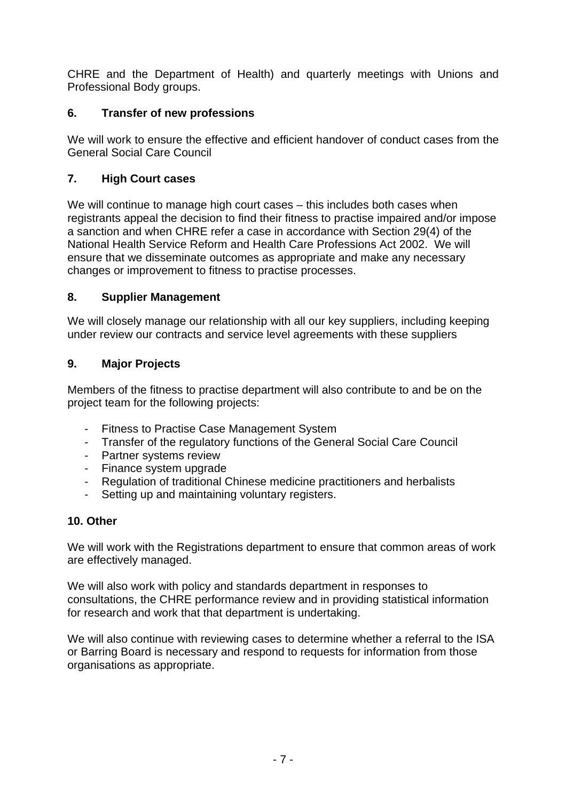CHRE and the Department of Health) and quarterly meetings with Unions and Professional Body groups.

#### **6. Transfer of new professions**

We will work to ensure the effective and efficient handover of conduct cases from the General Social Care Council

#### **7. High Court cases**

We will continue to manage high court cases – this includes both cases when registrants appeal the decision to find their fitness to practise impaired and/or impose a sanction and when CHRE refer a case in accordance with Section 29(4) of the National Health Service Reform and Health Care Professions Act 2002. We will ensure that we disseminate outcomes as appropriate and make any necessary changes or improvement to fitness to practise processes.

#### **8. Supplier Management**

We will closely manage our relationship with all our key suppliers, including keeping under review our contracts and service level agreements with these suppliers

#### **9. Major Projects**

Members of the fitness to practise department will also contribute to and be on the project team for the following projects:

- Fitness to Practise Case Management System
- Transfer of the regulatory functions of the General Social Care Council
- Partner systems review
- Finance system upgrade
- Regulation of traditional Chinese medicine practitioners and herbalists
- Setting up and maintaining voluntary registers.

#### **10. Other**

We will work with the Registrations department to ensure that common areas of work are effectively managed.

We will also work with policy and standards department in responses to consultations, the CHRE performance review and in providing statistical information for research and work that that department is undertaking.

We will also continue with reviewing cases to determine whether a referral to the ISA or Barring Board is necessary and respond to requests for information from those organisations as appropriate.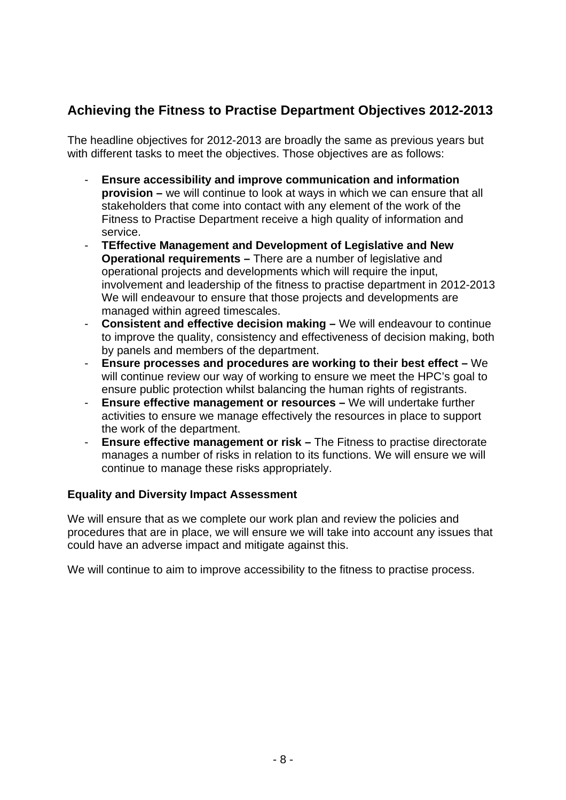### **Achieving the Fitness to Practise Department Objectives 2012-2013**

The headline objectives for 2012-2013 are broadly the same as previous years but with different tasks to meet the objectives. Those objectives are as follows:

- **Ensure accessibility and improve communication and information provision –** we will continue to look at ways in which we can ensure that all stakeholders that come into contact with any element of the work of the Fitness to Practise Department receive a high quality of information and service.
- **TEffective Management and Development of Legislative and New Operational requirements –** There are a number of legislative and operational projects and developments which will require the input, involvement and leadership of the fitness to practise department in 2012-2013 We will endeavour to ensure that those projects and developments are managed within agreed timescales.
- **Consistent and effective decision making –** We will endeavour to continue to improve the quality, consistency and effectiveness of decision making, both by panels and members of the department.
- **Ensure processes and procedures are working to their best effect –** We will continue review our way of working to ensure we meet the HPC's goal to ensure public protection whilst balancing the human rights of registrants.
- **Ensure effective management or resources –** We will undertake further activities to ensure we manage effectively the resources in place to support the work of the department.
- **Ensure effective management or risk –** The Fitness to practise directorate manages a number of risks in relation to its functions. We will ensure we will continue to manage these risks appropriately.

#### **Equality and Diversity Impact Assessment**

We will ensure that as we complete our work plan and review the policies and procedures that are in place, we will ensure we will take into account any issues that could have an adverse impact and mitigate against this.

We will continue to aim to improve accessibility to the fitness to practise process.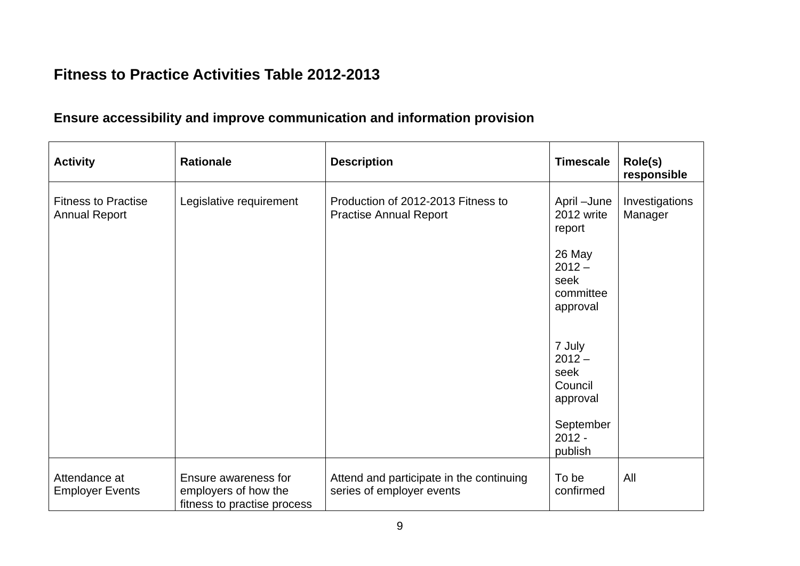### **Fitness to Practice Activities Table 2012-2013**

### **Ensure accessibility and improve communication and information provision**

| <b>Activity</b>                                    | <b>Rationale</b>                                                            | <b>Description</b>                                                    | <b>Timescale</b>                                                                                     | Role(s)<br>responsible    |
|----------------------------------------------------|-----------------------------------------------------------------------------|-----------------------------------------------------------------------|------------------------------------------------------------------------------------------------------|---------------------------|
| <b>Fitness to Practise</b><br><b>Annual Report</b> | Legislative requirement                                                     | Production of 2012-2013 Fitness to<br><b>Practise Annual Report</b>   | April -June<br>2012 write<br>report<br>26 May<br>$2012 -$<br>seek<br>committee<br>approval<br>7 July | Investigations<br>Manager |
|                                                    |                                                                             |                                                                       | $2012 -$<br>seek<br>Council<br>approval<br>September<br>$2012 -$<br>publish                          |                           |
| Attendance at<br><b>Employer Events</b>            | Ensure awareness for<br>employers of how the<br>fitness to practise process | Attend and participate in the continuing<br>series of employer events | To be<br>confirmed                                                                                   | All                       |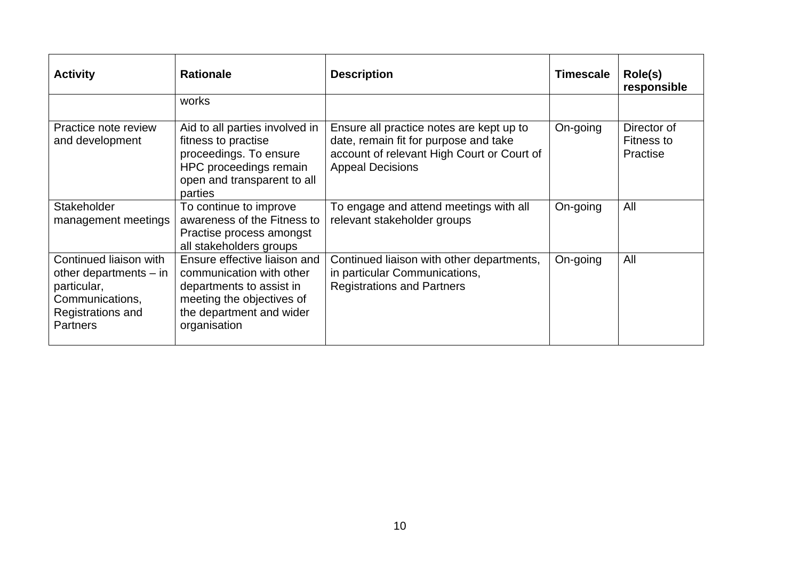| <b>Activity</b>                                                                                                              | <b>Rationale</b>                                                                                                                                              | <b>Description</b>                                                                                                                                         | <b>Timescale</b> | Role(s)<br>responsible                |
|------------------------------------------------------------------------------------------------------------------------------|---------------------------------------------------------------------------------------------------------------------------------------------------------------|------------------------------------------------------------------------------------------------------------------------------------------------------------|------------------|---------------------------------------|
|                                                                                                                              | works                                                                                                                                                         |                                                                                                                                                            |                  |                                       |
| Practice note review<br>and development                                                                                      | Aid to all parties involved in<br>fitness to practise<br>proceedings. To ensure<br>HPC proceedings remain<br>open and transparent to all<br>parties           | Ensure all practice notes are kept up to<br>date, remain fit for purpose and take<br>account of relevant High Court or Court of<br><b>Appeal Decisions</b> | On-going         | Director of<br>Fitness to<br>Practise |
| Stakeholder<br>management meetings                                                                                           | To continue to improve<br>awareness of the Fitness to<br>Practise process amongst<br>all stakeholders groups                                                  | To engage and attend meetings with all<br>relevant stakeholder groups                                                                                      | On-going         | All                                   |
| Continued liaison with<br>other departments $-$ in<br>particular,<br>Communications,<br>Registrations and<br><b>Partners</b> | Ensure effective liaison and<br>communication with other<br>departments to assist in<br>meeting the objectives of<br>the department and wider<br>organisation | Continued liaison with other departments,<br>in particular Communications,<br><b>Registrations and Partners</b>                                            | On-going         | All                                   |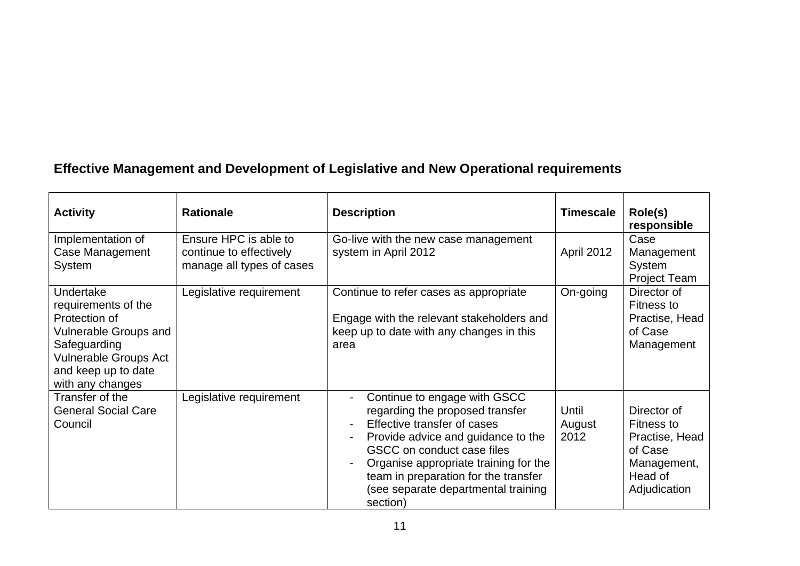# **Effective Management and Development of Legislative and New Operational requirements**

| <b>Activity</b>                                                                                                                                                       | <b>Rationale</b>                                                              | <b>Description</b>                                                                                                                                                                                                                                                                                     | <b>Timescale</b>        | Role(s)<br>responsible                                                                           |
|-----------------------------------------------------------------------------------------------------------------------------------------------------------------------|-------------------------------------------------------------------------------|--------------------------------------------------------------------------------------------------------------------------------------------------------------------------------------------------------------------------------------------------------------------------------------------------------|-------------------------|--------------------------------------------------------------------------------------------------|
| Implementation of<br>Case Management<br><b>System</b>                                                                                                                 | Ensure HPC is able to<br>continue to effectively<br>manage all types of cases | Go-live with the new case management<br>system in April 2012                                                                                                                                                                                                                                           | April 2012              | Case<br>Management<br>System<br><b>Project Team</b>                                              |
| Undertake<br>requirements of the<br>Protection of<br>Vulnerable Groups and<br>Safeguarding<br><b>Vulnerable Groups Act</b><br>and keep up to date<br>with any changes | Legislative requirement                                                       | Continue to refer cases as appropriate<br>Engage with the relevant stakeholders and<br>keep up to date with any changes in this<br>area                                                                                                                                                                | On-going                | Director of<br>Fitness to<br>Practise, Head<br>of Case<br>Management                             |
| Transfer of the<br><b>General Social Care</b><br>Council                                                                                                              | Legislative requirement                                                       | Continue to engage with GSCC<br>regarding the proposed transfer<br>Effective transfer of cases<br>Provide advice and guidance to the<br>GSCC on conduct case files<br>Organise appropriate training for the<br>team in preparation for the transfer<br>(see separate departmental training<br>section) | Until<br>August<br>2012 | Director of<br>Fitness to<br>Practise, Head<br>of Case<br>Management,<br>Head of<br>Adjudication |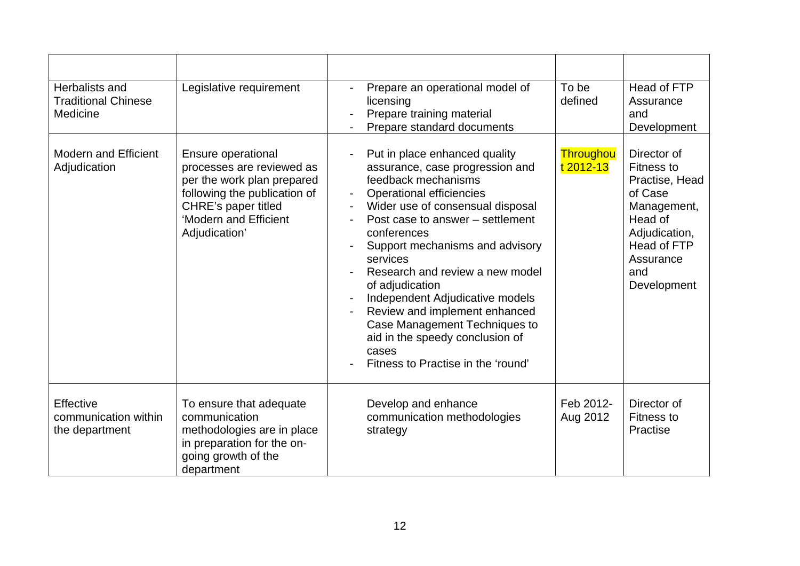| Herbalists and<br><b>Traditional Chinese</b><br>Medicine | Legislative requirement                                                                                                                                                        | Prepare an operational model of<br>licensing<br>Prepare training material<br>Prepare standard documents                                                                                                                                                                                                                                                                                                                                                                                                       | To be<br>defined       | Head of FTP<br>Assurance<br>and<br>Development                                                                                                      |
|----------------------------------------------------------|--------------------------------------------------------------------------------------------------------------------------------------------------------------------------------|---------------------------------------------------------------------------------------------------------------------------------------------------------------------------------------------------------------------------------------------------------------------------------------------------------------------------------------------------------------------------------------------------------------------------------------------------------------------------------------------------------------|------------------------|-----------------------------------------------------------------------------------------------------------------------------------------------------|
| <b>Modern and Efficient</b><br>Adjudication              | Ensure operational<br>processes are reviewed as<br>per the work plan prepared<br>following the publication of<br>CHRE's paper titled<br>'Modern and Efficient<br>Adjudication' | Put in place enhanced quality<br>assurance, case progression and<br>feedback mechanisms<br><b>Operational efficiencies</b><br>Wider use of consensual disposal<br>Post case to answer – settlement<br>conferences<br>Support mechanisms and advisory<br>services<br>Research and review a new model<br>of adjudication<br>Independent Adjudicative models<br>Review and implement enhanced<br>Case Management Techniques to<br>aid in the speedy conclusion of<br>cases<br>Fitness to Practise in the 'round' | Throughou<br>t 2012-13 | Director of<br>Fitness to<br>Practise, Head<br>of Case<br>Management,<br>Head of<br>Adjudication,<br>Head of FTP<br>Assurance<br>and<br>Development |
| Effective<br>communication within<br>the department      | To ensure that adequate<br>communication<br>methodologies are in place<br>in preparation for the on-<br>going growth of the<br>department                                      | Develop and enhance<br>communication methodologies<br>strategy                                                                                                                                                                                                                                                                                                                                                                                                                                                | Feb 2012-<br>Aug 2012  | Director of<br><b>Fitness to</b><br>Practise                                                                                                        |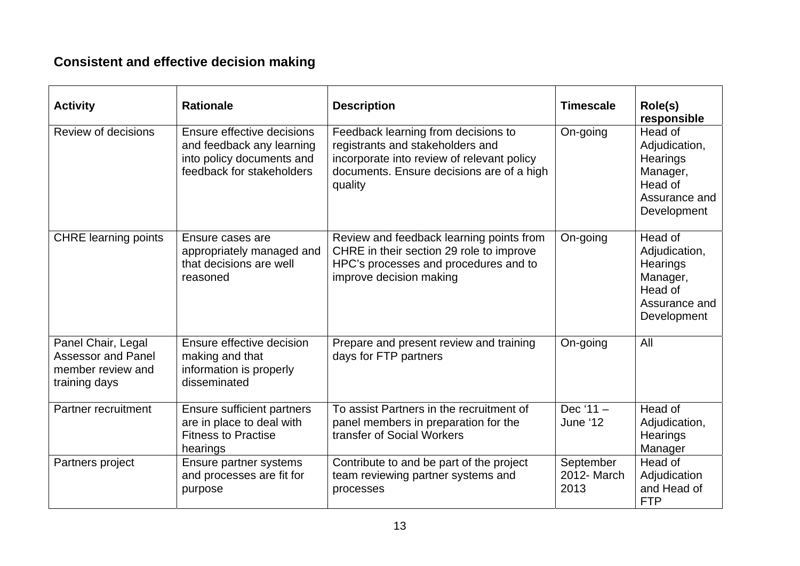### **Consistent and effective decision making**

| <b>Activity</b>                                                                       | <b>Rationale</b>                                                                                                  | <b>Description</b>                                                                                                                                                            | <b>Timescale</b>                 | Role(s)<br>responsible                                                                      |
|---------------------------------------------------------------------------------------|-------------------------------------------------------------------------------------------------------------------|-------------------------------------------------------------------------------------------------------------------------------------------------------------------------------|----------------------------------|---------------------------------------------------------------------------------------------|
| Review of decisions                                                                   | Ensure effective decisions<br>and feedback any learning<br>into policy documents and<br>feedback for stakeholders | Feedback learning from decisions to<br>registrants and stakeholders and<br>incorporate into review of relevant policy<br>documents. Ensure decisions are of a high<br>quality | On-going                         | Head of<br>Adjudication,<br>Hearings<br>Manager,<br>Head of<br>Assurance and<br>Development |
| <b>CHRE</b> learning points                                                           | Ensure cases are<br>appropriately managed and<br>that decisions are well<br>reasoned                              | Review and feedback learning points from<br>CHRE in their section 29 role to improve<br>HPC's processes and procedures and to<br>improve decision making                      | On-going                         | Head of<br>Adjudication,<br>Hearings<br>Manager,<br>Head of<br>Assurance and<br>Development |
| Panel Chair, Legal<br><b>Assessor and Panel</b><br>member review and<br>training days | Ensure effective decision<br>making and that<br>information is properly<br>disseminated                           | Prepare and present review and training<br>days for FTP partners                                                                                                              | On-going                         | All                                                                                         |
| Partner recruitment                                                                   | <b>Ensure sufficient partners</b><br>are in place to deal with<br><b>Fitness to Practise</b><br>hearings          | To assist Partners in the recruitment of<br>panel members in preparation for the<br>transfer of Social Workers                                                                | Dec $'11 -$<br>June '12          | Head of<br>Adjudication,<br>Hearings<br>Manager                                             |
| Partners project                                                                      | Ensure partner systems<br>and processes are fit for<br>purpose                                                    | Contribute to and be part of the project<br>team reviewing partner systems and<br>processes                                                                                   | September<br>2012- March<br>2013 | Head of<br>Adjudication<br>and Head of<br><b>FTP</b>                                        |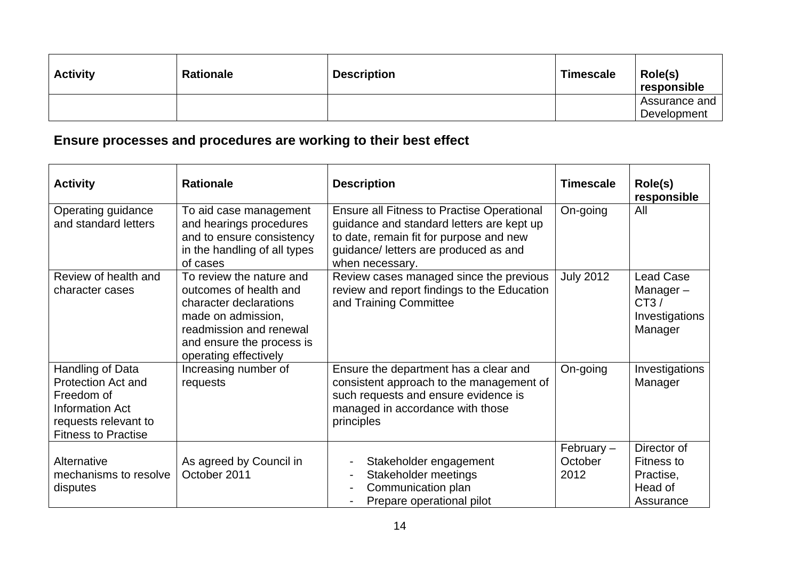| <b>Activity</b> | <b>Rationale</b> | <b>Description</b> | <b>Timescale</b> | Role(s)<br>responsible       |
|-----------------|------------------|--------------------|------------------|------------------------------|
|                 |                  |                    |                  | Assurance and<br>Development |

### **Ensure processes and procedures are working to their best effect**

| <b>Activity</b>                                                                                                                      | <b>Rationale</b>                                                                                                                                                                    | <b>Description</b>                                                                                                                                                                                    | <b>Timescale</b>                | Role(s)<br>responsible                                               |
|--------------------------------------------------------------------------------------------------------------------------------------|-------------------------------------------------------------------------------------------------------------------------------------------------------------------------------------|-------------------------------------------------------------------------------------------------------------------------------------------------------------------------------------------------------|---------------------------------|----------------------------------------------------------------------|
| Operating guidance<br>and standard letters                                                                                           | To aid case management<br>and hearings procedures<br>and to ensure consistency<br>in the handling of all types<br>of cases                                                          | <b>Ensure all Fitness to Practise Operational</b><br>guidance and standard letters are kept up<br>to date, remain fit for purpose and new<br>guidance/ letters are produced as and<br>when necessary. | On-going                        | All                                                                  |
| Review of health and<br>character cases                                                                                              | To review the nature and<br>outcomes of health and<br>character declarations<br>made on admission,<br>readmission and renewal<br>and ensure the process is<br>operating effectively | Review cases managed since the previous<br>review and report findings to the Education<br>and Training Committee                                                                                      | <b>July 2012</b>                | <b>Lead Case</b><br>Manager $-$<br>CT3/<br>Investigations<br>Manager |
| Handling of Data<br><b>Protection Act and</b><br>Freedom of<br>Information Act<br>requests relevant to<br><b>Fitness to Practise</b> | Increasing number of<br>requests                                                                                                                                                    | Ensure the department has a clear and<br>consistent approach to the management of<br>such requests and ensure evidence is<br>managed in accordance with those<br>principles                           | On-going                        | Investigations<br>Manager                                            |
| Alternative<br>mechanisms to resolve<br>disputes                                                                                     | As agreed by Council in<br>October 2011                                                                                                                                             | Stakeholder engagement<br>Stakeholder meetings<br>Communication plan<br>Prepare operational pilot                                                                                                     | February $-$<br>October<br>2012 | Director of<br>Fitness to<br>Practise,<br>Head of<br>Assurance       |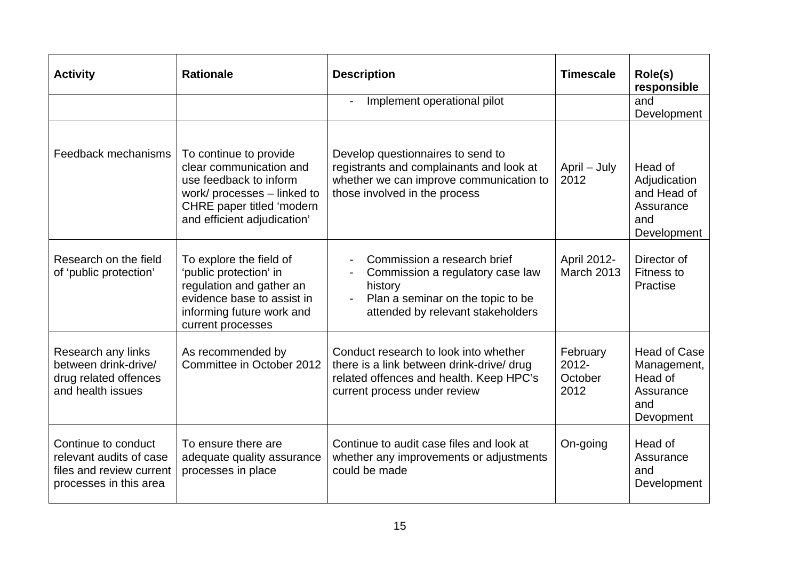| <b>Activity</b>                                                                                      | <b>Rationale</b>                                                                                                                                                       | <b>Description</b>                                                                                                                                                                                 | <b>Timescale</b>                        | Role(s)<br>responsible                                                         |
|------------------------------------------------------------------------------------------------------|------------------------------------------------------------------------------------------------------------------------------------------------------------------------|----------------------------------------------------------------------------------------------------------------------------------------------------------------------------------------------------|-----------------------------------------|--------------------------------------------------------------------------------|
|                                                                                                      |                                                                                                                                                                        | Implement operational pilot                                                                                                                                                                        |                                         | and<br>Development                                                             |
| Feedback mechanisms                                                                                  | To continue to provide<br>clear communication and<br>use feedback to inform<br>work/ processes - linked to<br>CHRE paper titled 'modern<br>and efficient adjudication' | Develop questionnaires to send to<br>registrants and complainants and look at<br>whether we can improve communication to<br>those involved in the process                                          | April - July<br>2012                    | Head of<br>Adjudication<br>and Head of<br>Assurance<br>and<br>Development      |
| Research on the field<br>of 'public protection'                                                      | To explore the field of<br>'public protection' in<br>regulation and gather an<br>evidence base to assist in<br>informing future work and<br>current processes          | Commission a research brief<br>$\overline{\phantom{0}}$<br>Commission a regulatory case law<br>$\blacksquare$<br>history<br>Plan a seminar on the topic to be<br>attended by relevant stakeholders | April 2012-<br><b>March 2013</b>        | Director of<br><b>Fitness to</b><br>Practise                                   |
| Research any links<br>between drink-drive/<br>drug related offences<br>and health issues             | As recommended by<br>Committee in October 2012                                                                                                                         | Conduct research to look into whether<br>there is a link between drink-drive/ drug<br>related offences and health. Keep HPC's<br>current process under review                                      | February<br>$2012 -$<br>October<br>2012 | <b>Head of Case</b><br>Management,<br>Head of<br>Assurance<br>and<br>Devopment |
| Continue to conduct<br>relevant audits of case<br>files and review current<br>processes in this area | To ensure there are<br>adequate quality assurance<br>processes in place                                                                                                | Continue to audit case files and look at<br>whether any improvements or adjustments<br>could be made                                                                                               | On-going                                | Head of<br>Assurance<br>and<br>Development                                     |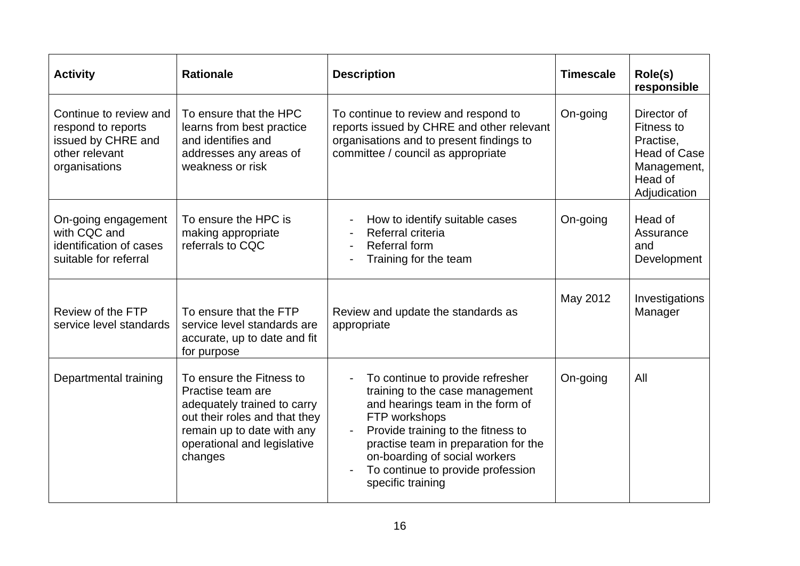| <b>Activity</b>                                                                                       | <b>Rationale</b>                                                                                                                                                                                                                                                                               | <b>Description</b>                                                                                                                                                                                                                                                                                | <b>Timescale</b> | Role(s)<br>responsible                                                                                  |
|-------------------------------------------------------------------------------------------------------|------------------------------------------------------------------------------------------------------------------------------------------------------------------------------------------------------------------------------------------------------------------------------------------------|---------------------------------------------------------------------------------------------------------------------------------------------------------------------------------------------------------------------------------------------------------------------------------------------------|------------------|---------------------------------------------------------------------------------------------------------|
| Continue to review and<br>respond to reports<br>issued by CHRE and<br>other relevant<br>organisations | To ensure that the HPC<br>To continue to review and respond to<br>reports issued by CHRE and other relevant<br>learns from best practice<br>organisations and to present findings to<br>and identifies and<br>committee / council as appropriate<br>addresses any areas of<br>weakness or risk |                                                                                                                                                                                                                                                                                                   | On-going         | Director of<br>Fitness to<br>Practise,<br><b>Head of Case</b><br>Management,<br>Head of<br>Adjudication |
| On-going engagement<br>with CQC and<br>identification of cases<br>suitable for referral               | To ensure the HPC is<br>making appropriate<br>referrals to CQC                                                                                                                                                                                                                                 | On-going<br>How to identify suitable cases<br>Referral criteria<br>Referral form<br>Training for the team                                                                                                                                                                                         |                  | Head of<br>Assurance<br>and<br>Development                                                              |
| Review of the FTP<br>service level standards                                                          | To ensure that the FTP<br>service level standards are<br>accurate, up to date and fit<br>for purpose                                                                                                                                                                                           | Review and update the standards as<br>appropriate                                                                                                                                                                                                                                                 | May 2012         | Investigations<br>Manager                                                                               |
| Departmental training                                                                                 | To ensure the Fitness to<br>Practise team are<br>adequately trained to carry<br>out their roles and that they<br>remain up to date with any<br>operational and legislative<br>changes                                                                                                          | To continue to provide refresher<br>training to the case management<br>and hearings team in the form of<br>FTP workshops<br>Provide training to the fitness to<br>practise team in preparation for the<br>on-boarding of social workers<br>To continue to provide profession<br>specific training | On-going         | All                                                                                                     |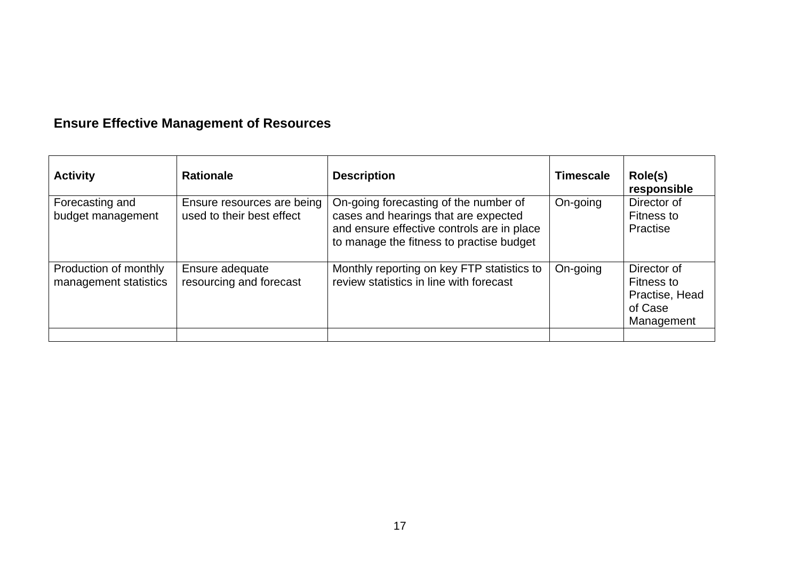# **Ensure Effective Management of Resources**

| <b>Activity</b>                                | <b>Rationale</b>                                        | <b>Description</b>                                                                                                                                                      | <b>Timescale</b> | Role(s)<br>responsible                                               |
|------------------------------------------------|---------------------------------------------------------|-------------------------------------------------------------------------------------------------------------------------------------------------------------------------|------------------|----------------------------------------------------------------------|
| Forecasting and<br>budget management           | Ensure resources are being<br>used to their best effect | On-going forecasting of the number of<br>cases and hearings that are expected<br>and ensure effective controls are in place<br>to manage the fitness to practise budget | On-going         | Director of<br>Fitness to<br>Practise                                |
| Production of monthly<br>management statistics | Ensure adequate<br>resourcing and forecast              | Monthly reporting on key FTP statistics to<br>review statistics in line with forecast                                                                                   | On-going         | Director of<br>Fitness to<br>Practise, Head<br>of Case<br>Management |
|                                                |                                                         |                                                                                                                                                                         |                  |                                                                      |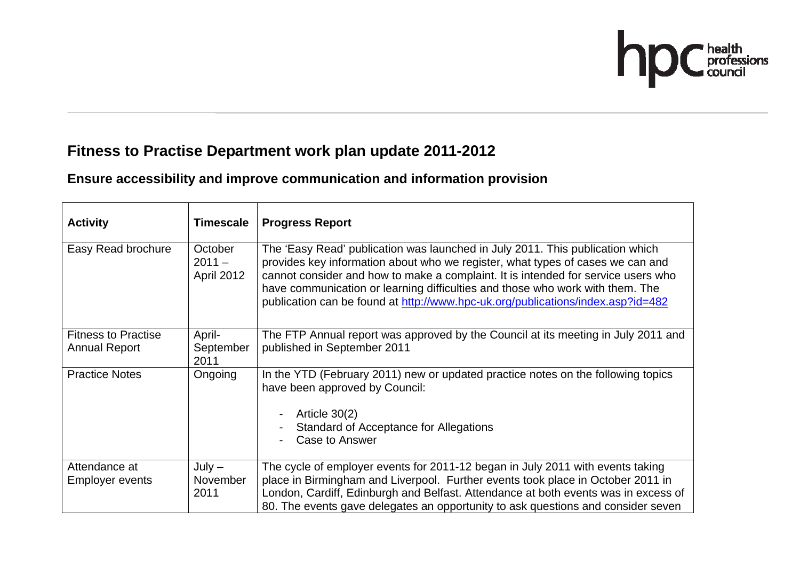

### **Fitness to Practise Department work plan update 2011-2012**

### **Ensure accessibility and improve communication and information provision**

| <b>Activity</b>                                    | <b>Timescale</b>                  | <b>Progress Report</b>                                                                                                                                                                                                                                                                                                                                                                                                   |
|----------------------------------------------------|-----------------------------------|--------------------------------------------------------------------------------------------------------------------------------------------------------------------------------------------------------------------------------------------------------------------------------------------------------------------------------------------------------------------------------------------------------------------------|
| Easy Read brochure                                 | October<br>$2011 -$<br>April 2012 | The 'Easy Read' publication was launched in July 2011. This publication which<br>provides key information about who we register, what types of cases we can and<br>cannot consider and how to make a complaint. It is intended for service users who<br>have communication or learning difficulties and those who work with them. The<br>publication can be found at http://www.hpc-uk.org/publications/index.asp?id=482 |
| <b>Fitness to Practise</b><br><b>Annual Report</b> | April-<br>September<br>2011       | The FTP Annual report was approved by the Council at its meeting in July 2011 and<br>published in September 2011                                                                                                                                                                                                                                                                                                         |
| <b>Practice Notes</b>                              | Ongoing                           | In the YTD (February 2011) new or updated practice notes on the following topics<br>have been approved by Council:<br>Article $30(2)$<br>Standard of Acceptance for Allegations<br>Case to Answer                                                                                                                                                                                                                        |
| Attendance at<br><b>Employer events</b>            | $July -$<br>November<br>2011      | The cycle of employer events for 2011-12 began in July 2011 with events taking<br>place in Birmingham and Liverpool. Further events took place in October 2011 in<br>London, Cardiff, Edinburgh and Belfast. Attendance at both events was in excess of<br>80. The events gave delegates an opportunity to ask questions and consider seven                                                                              |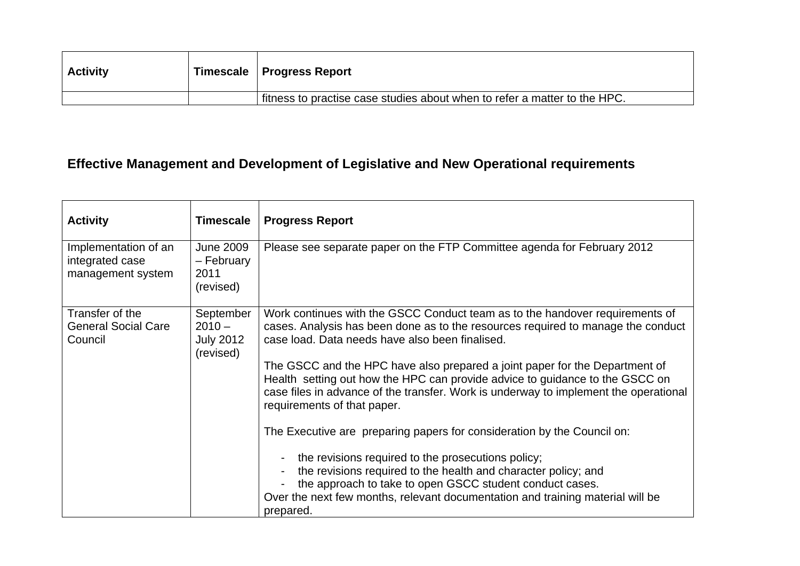| <b>Activity</b> | ∣ Timescale ∣ Progress Report                                             |
|-----------------|---------------------------------------------------------------------------|
|                 | fitness to practise case studies about when to refer a matter to the HPC. |

# **Effective Management and Development of Legislative and New Operational requirements**

| <b>Activity</b>                                              | <b>Timescale</b>                                       | <b>Progress Report</b>                                                                                                                                                                                                                                                             |
|--------------------------------------------------------------|--------------------------------------------------------|------------------------------------------------------------------------------------------------------------------------------------------------------------------------------------------------------------------------------------------------------------------------------------|
| Implementation of an<br>integrated case<br>management system | <b>June 2009</b><br>- February<br>2011<br>(revised)    | Please see separate paper on the FTP Committee agenda for February 2012                                                                                                                                                                                                            |
| Transfer of the<br><b>General Social Care</b><br>Council     | September<br>$2010 -$<br><b>July 2012</b><br>(revised) | Work continues with the GSCC Conduct team as to the handover requirements of<br>cases. Analysis has been done as to the resources required to manage the conduct<br>case load. Data needs have also been finalised.                                                                |
|                                                              |                                                        | The GSCC and the HPC have also prepared a joint paper for the Department of<br>Health setting out how the HPC can provide advice to guidance to the GSCC on<br>case files in advance of the transfer. Work is underway to implement the operational<br>requirements of that paper. |
|                                                              |                                                        | The Executive are preparing papers for consideration by the Council on:                                                                                                                                                                                                            |
|                                                              |                                                        | the revisions required to the prosecutions policy;<br>the revisions required to the health and character policy; and<br>the approach to take to open GSCC student conduct cases.<br>Over the next few months, relevant documentation and training material will be<br>prepared.    |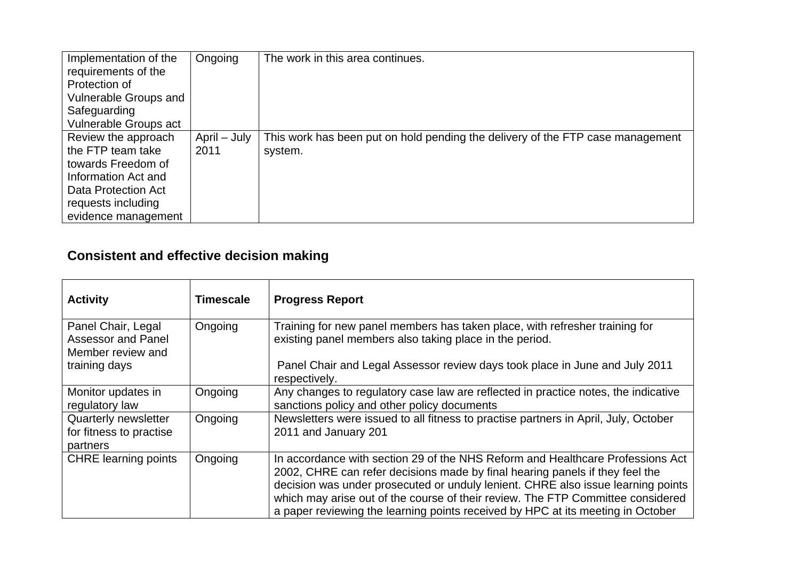| Implementation of the<br>requirements of the<br>Protection of<br>Vulnerable Groups and<br>Safeguarding<br>Vulnerable Groups act                           | Ongoing              | The work in this area continues.                                                          |
|-----------------------------------------------------------------------------------------------------------------------------------------------------------|----------------------|-------------------------------------------------------------------------------------------|
| Review the approach<br>the FTP team take<br>towards Freedom of<br>Information Act and<br>Data Protection Act<br>requests including<br>evidence management | April – July<br>2011 | This work has been put on hold pending the delivery of the FTP case management<br>system. |

### **Consistent and effective decision making**

| <b>Activity</b>                                                      | <b>Timescale</b> | <b>Progress Report</b>                                                                                                                                                                                                                                                                                                                                                                                                   |
|----------------------------------------------------------------------|------------------|--------------------------------------------------------------------------------------------------------------------------------------------------------------------------------------------------------------------------------------------------------------------------------------------------------------------------------------------------------------------------------------------------------------------------|
| Panel Chair, Legal<br><b>Assessor and Panel</b><br>Member review and | Ongoing          | Training for new panel members has taken place, with refresher training for<br>existing panel members also taking place in the period.                                                                                                                                                                                                                                                                                   |
| training days                                                        |                  | Panel Chair and Legal Assessor review days took place in June and July 2011<br>respectively.                                                                                                                                                                                                                                                                                                                             |
| Monitor updates in<br>regulatory law                                 | Ongoing          | Any changes to regulatory case law are reflected in practice notes, the indicative<br>sanctions policy and other policy documents                                                                                                                                                                                                                                                                                        |
| Quarterly newsletter<br>for fitness to practise<br>partners          | Ongoing          | Newsletters were issued to all fitness to practise partners in April, July, October<br>2011 and January 201                                                                                                                                                                                                                                                                                                              |
| <b>CHRE</b> learning points                                          | Ongoing          | In accordance with section 29 of the NHS Reform and Healthcare Professions Act<br>2002, CHRE can refer decisions made by final hearing panels if they feel the<br>decision was under prosecuted or unduly lenient. CHRE also issue learning points<br>which may arise out of the course of their review. The FTP Committee considered<br>a paper reviewing the learning points received by HPC at its meeting in October |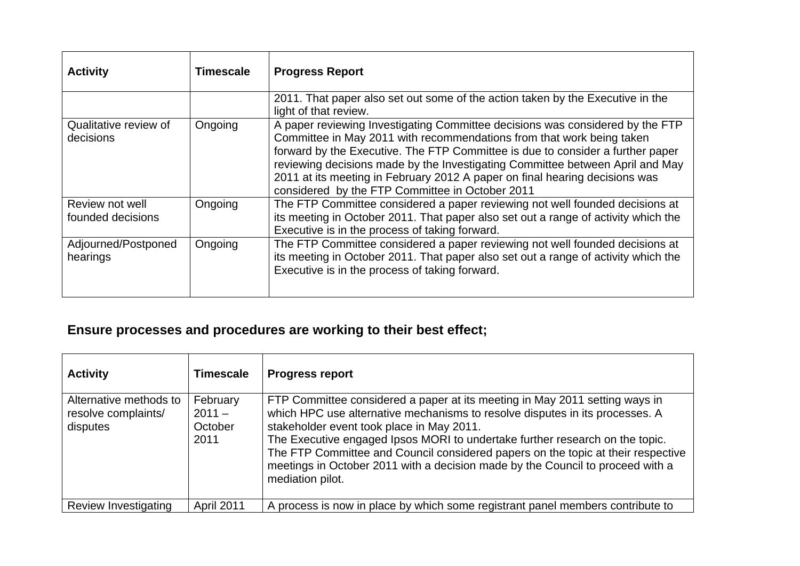| <b>Activity</b>                      | <b>Timescale</b> | <b>Progress Report</b>                                                                                                                                                                                                                                                                                                                                                                                                                                      |
|--------------------------------------|------------------|-------------------------------------------------------------------------------------------------------------------------------------------------------------------------------------------------------------------------------------------------------------------------------------------------------------------------------------------------------------------------------------------------------------------------------------------------------------|
|                                      |                  | 2011. That paper also set out some of the action taken by the Executive in the<br>light of that review.                                                                                                                                                                                                                                                                                                                                                     |
| Qualitative review of<br>decisions   | Ongoing          | A paper reviewing Investigating Committee decisions was considered by the FTP<br>Committee in May 2011 with recommendations from that work being taken<br>forward by the Executive. The FTP Committee is due to consider a further paper<br>reviewing decisions made by the Investigating Committee between April and May<br>2011 at its meeting in February 2012 A paper on final hearing decisions was<br>considered by the FTP Committee in October 2011 |
| Review not well<br>founded decisions | Ongoing          | The FTP Committee considered a paper reviewing not well founded decisions at<br>its meeting in October 2011. That paper also set out a range of activity which the<br>Executive is in the process of taking forward.                                                                                                                                                                                                                                        |
| Adjourned/Postponed<br>hearings      | Ongoing          | The FTP Committee considered a paper reviewing not well founded decisions at<br>its meeting in October 2011. That paper also set out a range of activity which the<br>Executive is in the process of taking forward.                                                                                                                                                                                                                                        |

# **Ensure processes and procedures are working to their best effect;**

| <b>Activity</b>                                           | <b>Timescale</b>                        | <b>Progress report</b>                                                                                                                                                                                                                                                                                                                                                                                                                                                             |
|-----------------------------------------------------------|-----------------------------------------|------------------------------------------------------------------------------------------------------------------------------------------------------------------------------------------------------------------------------------------------------------------------------------------------------------------------------------------------------------------------------------------------------------------------------------------------------------------------------------|
| Alternative methods to<br>resolve complaints/<br>disputes | February<br>$2011 -$<br>October<br>2011 | FTP Committee considered a paper at its meeting in May 2011 setting ways in<br>which HPC use alternative mechanisms to resolve disputes in its processes. A<br>stakeholder event took place in May 2011.<br>The Executive engaged Ipsos MORI to undertake further research on the topic.<br>The FTP Committee and Council considered papers on the topic at their respective<br>meetings in October 2011 with a decision made by the Council to proceed with a<br>mediation pilot. |
| Review Investigating                                      | <b>April 2011</b>                       | A process is now in place by which some registrant panel members contribute to                                                                                                                                                                                                                                                                                                                                                                                                     |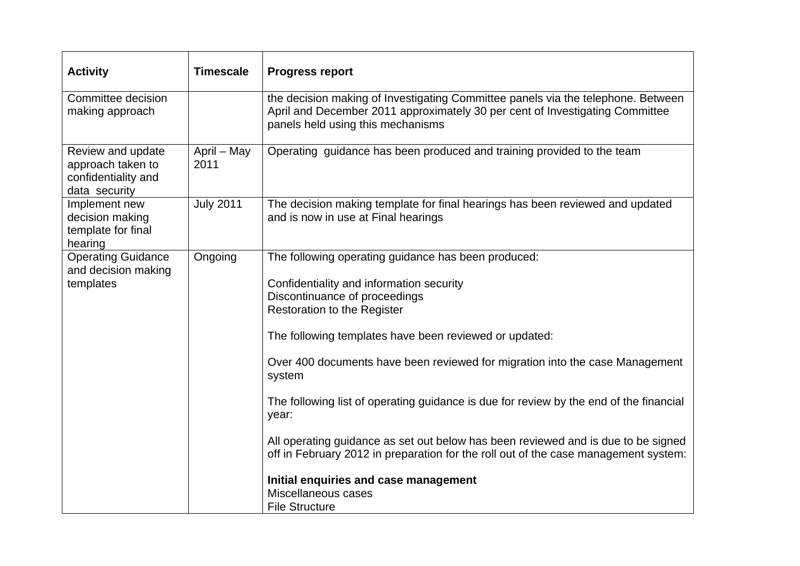| <b>Activity</b>                                                                | <b>Timescale</b>    | <b>Progress report</b>                                                                                                                                                                                                                                                                                                                                                                                                                                                                                                                                                                                                                                                                             |
|--------------------------------------------------------------------------------|---------------------|----------------------------------------------------------------------------------------------------------------------------------------------------------------------------------------------------------------------------------------------------------------------------------------------------------------------------------------------------------------------------------------------------------------------------------------------------------------------------------------------------------------------------------------------------------------------------------------------------------------------------------------------------------------------------------------------------|
| Committee decision<br>making approach                                          |                     | the decision making of Investigating Committee panels via the telephone. Between<br>April and December 2011 approximately 30 per cent of Investigating Committee<br>panels held using this mechanisms                                                                                                                                                                                                                                                                                                                                                                                                                                                                                              |
| Review and update<br>approach taken to<br>confidentiality and<br>data security | April - May<br>2011 | Operating guidance has been produced and training provided to the team                                                                                                                                                                                                                                                                                                                                                                                                                                                                                                                                                                                                                             |
| Implement new<br>decision making<br>template for final<br>hearing              | <b>July 2011</b>    | The decision making template for final hearings has been reviewed and updated<br>and is now in use at Final hearings                                                                                                                                                                                                                                                                                                                                                                                                                                                                                                                                                                               |
| <b>Operating Guidance</b><br>and decision making<br>templates                  | Ongoing             | The following operating guidance has been produced:<br>Confidentiality and information security<br>Discontinuance of proceedings<br><b>Restoration to the Register</b><br>The following templates have been reviewed or updated:<br>Over 400 documents have been reviewed for migration into the case Management<br>system<br>The following list of operating guidance is due for review by the end of the financial<br>year:<br>All operating guidance as set out below has been reviewed and is due to be signed<br>off in February 2012 in preparation for the roll out of the case management system:<br>Initial enquiries and case management<br>Miscellaneous cases<br><b>File Structure</b> |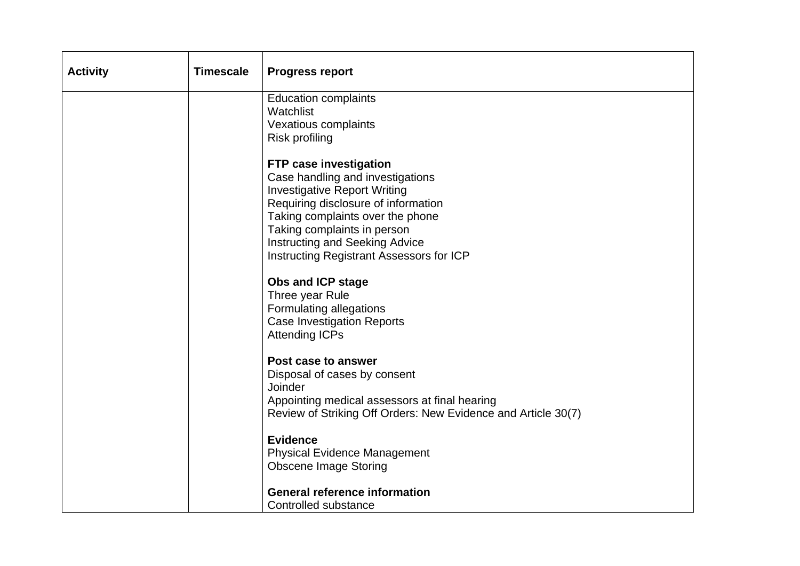| <b>Activity</b> | <b>Timescale</b> | <b>Progress report</b>                                                  |
|-----------------|------------------|-------------------------------------------------------------------------|
|                 |                  | <b>Education complaints</b>                                             |
|                 |                  | Watchlist<br>Vexatious complaints                                       |
|                 |                  | Risk profiling                                                          |
|                 |                  |                                                                         |
|                 |                  | <b>FTP case investigation</b>                                           |
|                 |                  | Case handling and investigations<br><b>Investigative Report Writing</b> |
|                 |                  | Requiring disclosure of information                                     |
|                 |                  | Taking complaints over the phone                                        |
|                 |                  | Taking complaints in person                                             |
|                 |                  | Instructing and Seeking Advice                                          |
|                 |                  | Instructing Registrant Assessors for ICP                                |
|                 |                  | <b>Obs and ICP stage</b>                                                |
|                 |                  | Three year Rule                                                         |
|                 |                  | Formulating allegations                                                 |
|                 |                  | <b>Case Investigation Reports</b>                                       |
|                 |                  | <b>Attending ICPs</b>                                                   |
|                 |                  | Post case to answer                                                     |
|                 |                  | Disposal of cases by consent                                            |
|                 |                  | Joinder                                                                 |
|                 |                  | Appointing medical assessors at final hearing                           |
|                 |                  | Review of Striking Off Orders: New Evidence and Article 30(7)           |
|                 |                  | <b>Evidence</b>                                                         |
|                 |                  | <b>Physical Evidence Management</b>                                     |
|                 |                  | <b>Obscene Image Storing</b>                                            |
|                 |                  | <b>General reference information</b>                                    |
|                 |                  | Controlled substance                                                    |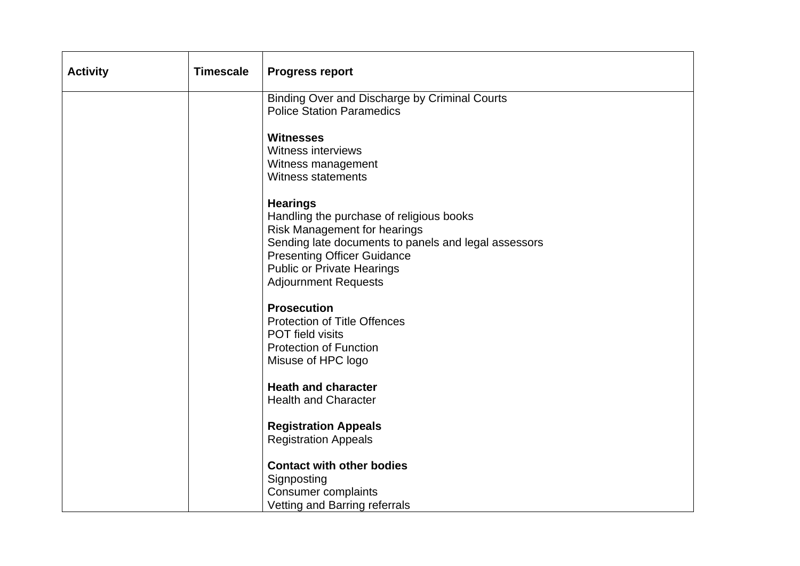| <b>Activity</b> | <b>Timescale</b> | <b>Progress report</b>                                                                                                                                                                                                                                        |
|-----------------|------------------|---------------------------------------------------------------------------------------------------------------------------------------------------------------------------------------------------------------------------------------------------------------|
|                 |                  | Binding Over and Discharge by Criminal Courts                                                                                                                                                                                                                 |
|                 |                  | <b>Police Station Paramedics</b>                                                                                                                                                                                                                              |
|                 |                  | <b>Witnesses</b><br><b>Witness interviews</b><br>Witness management<br><b>Witness statements</b>                                                                                                                                                              |
|                 |                  | <b>Hearings</b><br>Handling the purchase of religious books<br>Risk Management for hearings<br>Sending late documents to panels and legal assessors<br><b>Presenting Officer Guidance</b><br><b>Public or Private Hearings</b><br><b>Adjournment Requests</b> |
|                 |                  | <b>Prosecution</b><br><b>Protection of Title Offences</b><br>POT field visits<br><b>Protection of Function</b><br>Misuse of HPC logo                                                                                                                          |
|                 |                  | <b>Heath and character</b><br><b>Health and Character</b>                                                                                                                                                                                                     |
|                 |                  | <b>Registration Appeals</b><br><b>Registration Appeals</b>                                                                                                                                                                                                    |
|                 |                  | <b>Contact with other bodies</b>                                                                                                                                                                                                                              |
|                 |                  | Signposting                                                                                                                                                                                                                                                   |
|                 |                  | <b>Consumer complaints</b>                                                                                                                                                                                                                                    |
|                 |                  | Vetting and Barring referrals                                                                                                                                                                                                                                 |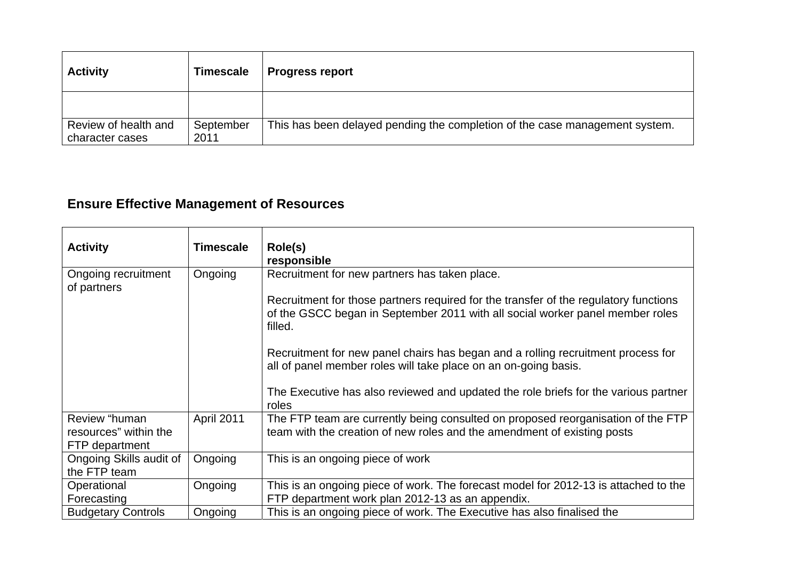| <b>Activity</b>                         | <b>Timescale</b>  | <b>Progress report</b>                                                      |
|-----------------------------------------|-------------------|-----------------------------------------------------------------------------|
|                                         |                   |                                                                             |
| Review of health and<br>character cases | September<br>2011 | This has been delayed pending the completion of the case management system. |

# **Ensure Effective Management of Resources**

| <b>Activity</b>                                          | <b>Timescale</b>  | Role(s)<br>responsible                                                                                                                                                           |
|----------------------------------------------------------|-------------------|----------------------------------------------------------------------------------------------------------------------------------------------------------------------------------|
| Ongoing recruitment<br>of partners                       | Ongoing           | Recruitment for new partners has taken place.                                                                                                                                    |
|                                                          |                   | Recruitment for those partners required for the transfer of the regulatory functions<br>of the GSCC began in September 2011 with all social worker panel member roles<br>filled. |
|                                                          |                   | Recruitment for new panel chairs has began and a rolling recruitment process for<br>all of panel member roles will take place on an on-going basis.                              |
|                                                          |                   | The Executive has also reviewed and updated the role briefs for the various partner<br>roles                                                                                     |
| Review "human<br>resources" within the<br>FTP department | <b>April 2011</b> | The FTP team are currently being consulted on proposed reorganisation of the FTP<br>team with the creation of new roles and the amendment of existing posts                      |
| Ongoing Skills audit of<br>the FTP team                  | Ongoing           | This is an ongoing piece of work                                                                                                                                                 |
| Operational<br>Forecasting                               | Ongoing           | This is an ongoing piece of work. The forecast model for 2012-13 is attached to the<br>FTP department work plan 2012-13 as an appendix.                                          |
| <b>Budgetary Controls</b>                                | Ongoing           | This is an ongoing piece of work. The Executive has also finalised the                                                                                                           |